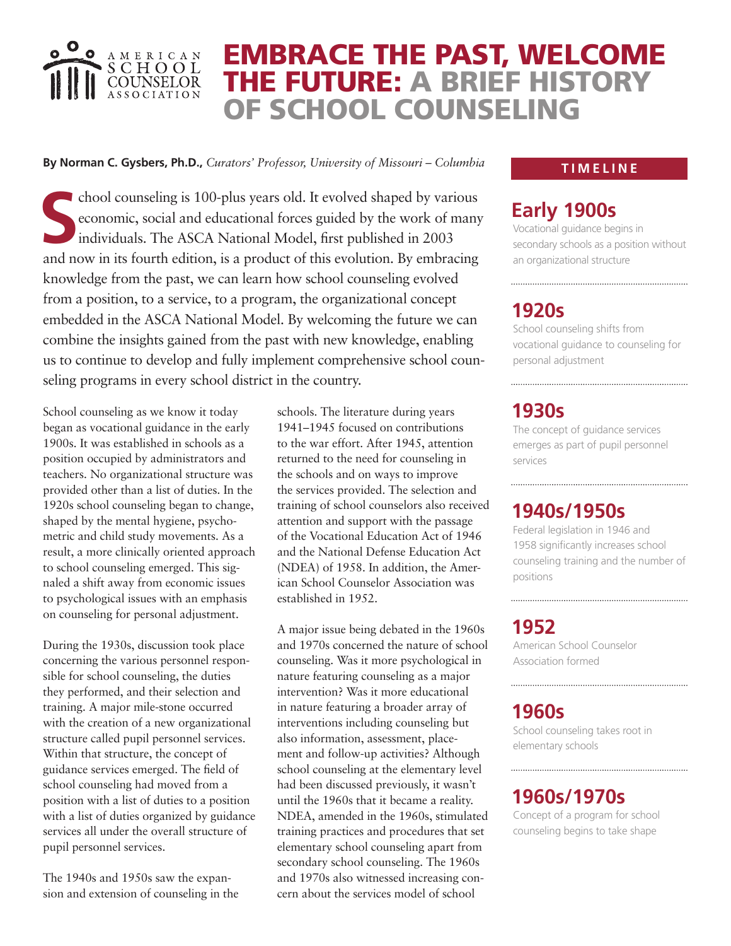

# EMBRACE THE PAST, WELCOME THE FUTURE: A BRIEF HISTORY OF SCHOOL COUNSELING

#### **By Norman C. Gysbers, Ph.D.,** *Curators' Professor, University of Missouri – Columbia*

chool counseling is 100-plus years old. It evolved shaped by various<br>
economic, social and educational forces guided by the work of many<br>
individuals. The ASCA National Model, first published in 2003 economic, social and educational forces guided by the work of many individuals. The ASCA National Model, first published in 2003 and now in its fourth edition, is a product of this evolution. By embracing knowledge from the past, we can learn how school counseling evolved from a position, to a service, to a program, the organizational concept embedded in the ASCA National Model. By welcoming the future we can combine the insights gained from the past with new knowledge, enabling us to continue to develop and fully implement comprehensive school counseling programs in every school district in the country.

School counseling as we know it today began as vocational guidance in the early 1900s. It was established in schools as a position occupied by administrators and teachers. No organizational structure was provided other than a list of duties. In the 1920s school counseling began to change, shaped by the mental hygiene, psychometric and child study movements. As a result, a more clinically oriented approach to school counseling emerged. This signaled a shift away from economic issues to psychological issues with an emphasis on counseling for personal adjustment.

During the 1930s, discussion took place concerning the various personnel responsible for school counseling, the duties they performed, and their selection and training. A major mile-stone occurred with the creation of a new organizational structure called pupil personnel services. Within that structure, the concept of guidance services emerged. The field of school counseling had moved from a position with a list of duties to a position with a list of duties organized by guidance services all under the overall structure of pupil personnel services.

The 1940s and 1950s saw the expansion and extension of counseling in the schools. The literature during years 1941–1945 focused on contributions to the war effort. After 1945, attention returned to the need for counseling in the schools and on ways to improve the services provided. The selection and training of school counselors also received attention and support with the passage of the Vocational Education Act of 1946 and the National Defense Education Act (NDEA) of 1958. In addition, the American School Counselor Association was established in 1952.

A major issue being debated in the 1960s and 1970s concerned the nature of school counseling. Was it more psychological in nature featuring counseling as a major intervention? Was it more educational in nature featuring a broader array of interventions including counseling but also information, assessment, placement and follow-up activities? Although school counseling at the elementary level had been discussed previously, it wasn't until the 1960s that it became a reality. NDEA, amended in the 1960s, stimulated training practices and procedures that set elementary school counseling apart from secondary school counseling. The 1960s and 1970s also witnessed increasing concern about the services model of school

#### **TIMELINE**

#### **Early 1900s**

Vocational guidance begins in secondary schools as a position without an organizational structure

# **1920s**

School counseling shifts from vocational guidance to counseling for personal adjustment

# **1930s**

The concept of guidance services emerges as part of pupil personnel services

# **1940s/1950s**

Federal legislation in 1946 and 1958 significantly increases school counseling training and the number of positions

### **1952**

American School Counselor Association formed

#### **1960s**

School counseling takes root in elementary schools

### **1960s/1970s**

Concept of a program for school counseling begins to take shape